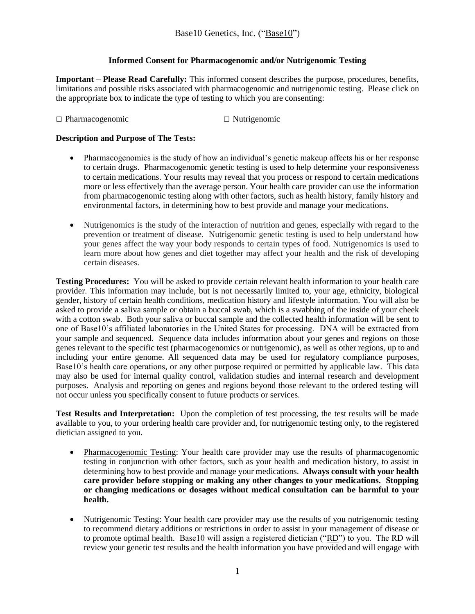## **Informed Consent for Pharmacogenomic and/or Nutrigenomic Testing**

**Important – Please Read Carefully:** This informed consent describes the purpose, procedures, benefits, limitations and possible risks associated with pharmacogenomic and nutrigenomic testing. Please click on the appropriate box to indicate the type of testing to which you are consenting:

□ Pharmacogenomic □ Nutrigenomic

## **Description and Purpose of The Tests:**

- Pharmacogenomics is the study of how an individual's genetic makeup affects his or her response to certain drugs. Pharmacogenomic genetic testing is used to help determine your responsiveness to certain medications. Your results may reveal that you process or respond to certain medications more or less effectively than the average person. Your health care provider can use the information from pharmacogenomic testing along with other factors, such as health history, family history and environmental factors, in determining how to best provide and manage your medications.
- Nutrigenomics is the study of the interaction of nutrition and genes, especially with regard to the prevention or treatment of disease. Nutrigenomic genetic testing is used to help understand how your genes affect the way your body responds to certain types of food. Nutrigenomics is used to learn more about how genes and diet together may affect your health and the risk of developing certain diseases.

**Testing Procedures:** You will be asked to provide certain relevant health information to your health care provider. This information may include, but is not necessarily limited to, your age, ethnicity, biological gender, history of certain health conditions, medication history and lifestyle information. You will also be asked to provide a saliva sample or obtain a buccal swab, which is a swabbing of the inside of your cheek with a cotton swab. Both your saliva or buccal sample and the collected health information will be sent to one of Base10's affiliated laboratories in the United States for processing. DNA will be extracted from your sample and sequenced. Sequence data includes information about your genes and regions on those genes relevant to the specific test (pharmacogenomics or nutrigenomic), as well as other regions, up to and including your entire genome. All sequenced data may be used for regulatory compliance purposes, Base10's health care operations, or any other purpose required or permitted by applicable law. This data may also be used for internal quality control, validation studies and internal research and development purposes. Analysis and reporting on genes and regions beyond those relevant to the ordered testing will not occur unless you specifically consent to future products or services.

**Test Results and Interpretation:** Upon the completion of test processing, the test results will be made available to you, to your ordering health care provider and, for nutrigenomic testing only, to the registered dietician assigned to you.

- Pharmacogenomic Testing: Your health care provider may use the results of pharmacogenomic testing in conjunction with other factors, such as your health and medication history, to assist in determining how to best provide and manage your medications. **Always consult with your health care provider before stopping or making any other changes to your medications. Stopping or changing medications or dosages without medical consultation can be harmful to your health.**
- Nutrigenomic Testing: Your health care provider may use the results of you nutrigenomic testing to recommend dietary additions or restrictions in order to assist in your management of disease or to promote optimal health. Base10 will assign a registered dietician ("RD") to you. The RD will review your genetic test results and the health information you have provided and will engage with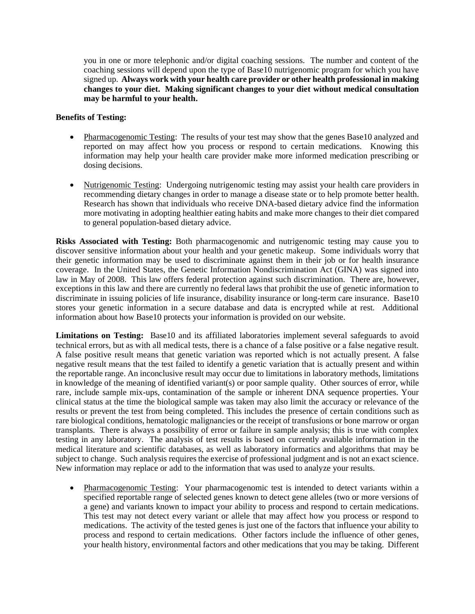you in one or more telephonic and/or digital coaching sessions. The number and content of the coaching sessions will depend upon the type of Base10 nutrigenomic program for which you have signed up. **Always work with your health care provider or other health professional in making changes to your diet. Making significant changes to your diet without medical consultation may be harmful to your health.**

## **Benefits of Testing:**

- Pharmacogenomic Testing: The results of your test may show that the genes Base10 analyzed and reported on may affect how you process or respond to certain medications. Knowing this information may help your health care provider make more informed medication prescribing or dosing decisions.
- Nutrigenomic Testing: Undergoing nutrigenomic testing may assist your health care providers in recommending dietary changes in order to manage a disease state or to help promote better health. Research has shown that individuals who receive DNA-based dietary advice find the information more motivating in adopting healthier eating habits and make more changes to their diet compared to general population-based dietary advice.

**Risks Associated with Testing:** Both pharmacogenomic and nutrigenomic testing may cause you to discover sensitive information about your health and your genetic makeup. Some individuals worry that their genetic information may be used to discriminate against them in their job or for health insurance coverage. In the United States, the Genetic Information Nondiscrimination Act (GINA) was signed into law in May of 2008. This law offers federal protection against such discrimination. There are, however, exceptions in this law and there are currently no federal laws that prohibit the use of genetic information to discriminate in issuing policies of life insurance, disability insurance or long-term care insurance. Base10 stores your genetic information in a secure database and data is encrypted while at rest. Additional information about how Base10 protects your information is provided on our website.

**Limitations on Testing:** Base10 and its affiliated laboratories implement several safeguards to avoid technical errors, but as with all medical tests, there is a chance of a false positive or a false negative result. A false positive result means that genetic variation was reported which is not actually present. A false negative result means that the test failed to identify a genetic variation that is actually present and within the reportable range. An inconclusive result may occur due to limitations in laboratory methods, limitations in knowledge of the meaning of identified variant(s) or poor sample quality. Other sources of error, while rare, include sample mix-ups, contamination of the sample or inherent DNA sequence properties. Your clinical status at the time the biological sample was taken may also limit the accuracy or relevance of the results or prevent the test from being completed. This includes the presence of certain conditions such as rare biological conditions, hematologic malignancies or the receipt of transfusions or bone marrow or organ transplants.There is always a possibility of error or failure in sample analysis; this is true with complex testing in any laboratory. The analysis of test results is based on currently available information in the medical literature and scientific databases, as well as laboratory informatics and algorithms that may be subject to change. Such analysis requires the exercise of professional judgment and is not an exact science. New information may replace or add to the information that was used to analyze your results.

Pharmacogenomic Testing: Your pharmacogenomic test is intended to detect variants within a specified reportable range of selected genes known to detect gene alleles (two or more versions of a gene) and variants known to impact your ability to process and respond to certain medications. This test may not detect every variant or allele that may affect how you process or respond to medications. The activity of the tested genes is just one of the factors that influence your ability to process and respond to certain medications. Other factors include the influence of other genes, your health history, environmental factors and other medications that you may be taking. Different